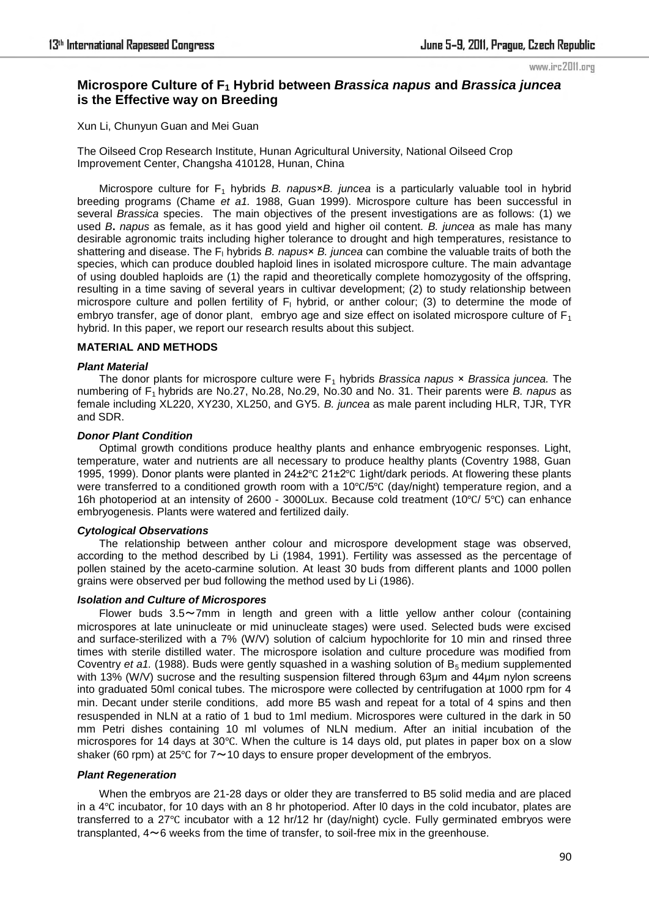www.irc2011.org

# **Microspore Culture of F1 Hybrid between** *Brassica napus* **and** *Brassica juncea* **is the Effective way on Breeding**

Xun Li, Chunyun Guan and Mei Guan

The Oilseed Crop Research Institute, Hunan Agricultural University, National Oilseed Crop Improvement Center, Changsha 410128, Hunan, China

Microspore culture for F<sub>1</sub> hybrids *B. napus*×*B. juncea* is a particularly valuable tool in hybrid breeding programs (Chame *et a1.* 1988, Guan 1999). Microspore culture has been successful in several *Brassica* species. The main objectives of the present investigations are as follows: (1) we used *B***.** *napus* as female, as it has good yield and higher oil content. *B. juncea* as male has many desirable agronomic traits including higher tolerance to drought and high temperatures, resistance to shattering and disease. The F<sub>l</sub> hybrids *B. napus*× *B. juncea* can combine the valuable traits of both the species, which can produce doubled haploid lines in isolated microspore culture. The main advantage of using doubled haploids are (1) the rapid and theoretically complete homozygosity of the offspring, resulting in a time saving of several years in cultivar development; (2) to study relationship between microspore culture and pollen fertility of  $F_1$  hybrid, or anther colour; (3) to determine the mode of embryo transfer, age of donor plant, embryo age and size effect on isolated microspore culture of  $F_1$ hybrid. In this paper, we report our research results about this subject.

### **MATERIAL AND METHODS**

#### *Plant Material*

The donor plants for microspore culture were F1 hybrids *Brassica napus* × *Brassica juncea.* The numbering of F1 hybrids are No.27, No.28, No.29, No.30 and No. 31. Their parents were *B. napus* as female including XL220, XY230, XL250, and GY5. *B. juncea* as male parent including HLR, TJR, TYR and SDR.

### *Donor Plant Condition*

Optimal growth conditions produce healthy plants and enhance embryogenic responses. Light, temperature, water and nutrients are all necessary to produce healthy plants (Coventry 1988, Guan 1995, 1999). Donor plants were planted in 24±2℃ 21±2℃ 1ight/dark periods. At flowering these plants were transferred to a conditioned growth room with a 10℃/5℃ (day/night) temperature region, and a 16h photoperiod at an intensity of 2600 - 3000Lux. Because cold treatment (10℃/ 5℃) can enhance embryogenesis. Plants were watered and fertilized daily.

## *Cytological Observations*

The relationship between anther colour and microspore development stage was observed, according to the method described by Li (1984, 1991). Fertility was assessed as the percentage of pollen stained by the aceto-carmine solution. At least 30 buds from different plants and 1000 pollen grains were observed per bud following the method used by Li (1986).

### *Isolation and Culture of Microspores*

Flower buds  $3.5 \sim 7$ mm in length and green with a little yellow anther colour (containing microspores at late uninucleate or mid uninucleate stages) were used. Selected buds were excised and surface-sterilized with a 7% (W/V) solution of calcium hypochlorite for 10 min and rinsed three times with sterile distilled water. The microspore isolation and culture procedure was modified from Coventry *et a1.* (1988). Buds were gently squashed in a washing solution of B5 medium supplemented with 13% (W/V) sucrose and the resulting suspension filtered through 63μm and 44μm nylon screens into graduated 50ml conical tubes. The microspore were collected by centrifugation at 1000 rpm for 4 min. Decant under sterile conditions, add more B5 wash and repeat for a total of 4 spins and then resuspended in NLN at a ratio of 1 bud to 1ml medium. Microspores were cultured in the dark in 50 mm Petri dishes containing 10 ml volumes of NLN medium. After an initial incubation of the microspores for 14 days at 30℃. When the culture is 14 days old, put plates in paper box on a slow shaker (60 rpm) at 25°C for  $7 \sim 10$  days to ensure proper development of the embryos.

### *Plant Regeneration*

When the embryos are 21-28 days or older they are transferred to B5 solid media and are placed in a 4℃ incubator, for 10 days with an 8 hr photoperiod. After l0 days in the cold incubator, plates are transferred to a 27℃ incubator with a 12 hr/12 hr (day/night) cycle. Fully germinated embryos were transplanted,  $4 \sim 6$  weeks from the time of transfer, to soil-free mix in the greenhouse.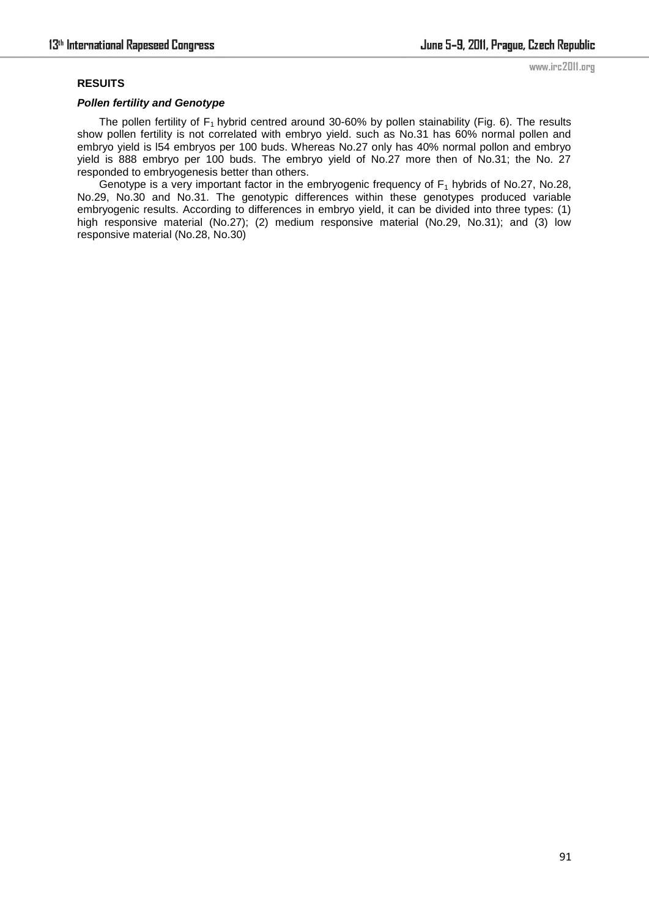### **RESUITS**

### *Pollen fertility and Genotype*

The pollen fertility of  $F_1$  hybrid centred around 30-60% by pollen stainability (Fig. 6). The results show pollen fertility is not correlated with embryo yield. such as No.31 has 60% normal pollen and embryo yield is l54 embryos per 100 buds. Whereas No.27 only has 40% normal pollon and embryo yield is 888 embryo per 100 buds. The embryo yield of No.27 more then of No.31; the No. 27 responded to embryogenesis better than others.

Genotype is a very important factor in the embryogenic frequency of  $F_1$  hybrids of No.27, No.28, No.29, No.30 and No.31. The genotypic differences within these genotypes produced variable embryogenic results. According to differences in embryo yield, it can be divided into three types: (1) high responsive material (No.27); (2) medium responsive material (No.29, No.31); and (3) low responsive material (No.28, No.30)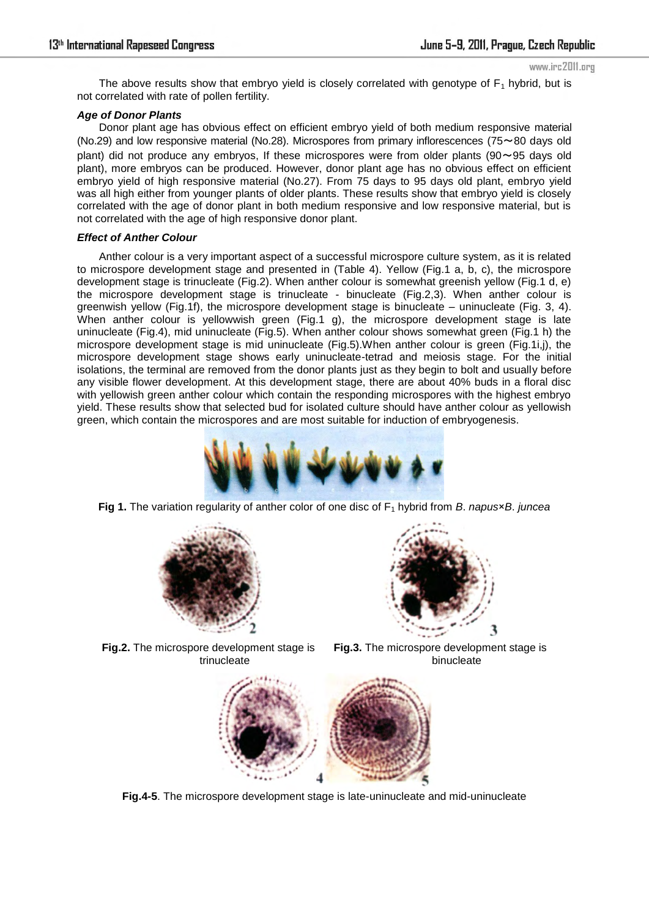The above results show that embryo yield is closely correlated with genotype of  $F_1$  hybrid, but is not correlated with rate of pollen fertility.

### *Age of Donor Plants*

Donor plant age has obvious effect on efficient embryo yield of both medium responsive material (No.29) and low responsive material (No.28). Microspores from primary inflorescences (75~80 days old plant) did not produce any embryos, If these microspores were from older plants ( $90 \sim 95$  days old plant), more embryos can be produced. However, donor plant age has no obvious effect on efficient embryo yield of high responsive material (No.27). From 75 days to 95 days old plant, embryo yield was all high either from younger plants of older plants. These results show that embryo yield is closely correlated with the age of donor plant in both medium responsive and low responsive material, but is not correlated with the age of high responsive donor plant.

### *Effect of Anther Colour*

Anther colour is a very important aspect of a successful microspore culture system, as it is related to microspore development stage and presented in (Table 4). Yellow (Fig.1 a, b, c), the microspore development stage is trinucleate (Fig.2). When anther colour is somewhat greenish yellow (Fig.1 d, e) the microspore development stage is trinucleate - binucleate (Fig.2,3). When anther colour is greenwish yellow (Fig.1f), the microspore development stage is binucleate – uninucleate (Fig. 3, 4). When anther colour is yellowwish green (Fig.1 g), the microspore development stage is late uninucleate (Fig.4), mid uninucleate (Fig.5). When anther colour shows somewhat green (Fig.1 h) the microspore development stage is mid uninucleate (Fig.5).When anther colour is green (Fig.1i,j), the microspore development stage shows early uninucleate-tetrad and meiosis stage. For the initial isolations, the terminal are removed from the donor plants just as they begin to bolt and usually before any visible flower development. At this development stage, there are about 40% buds in a floral disc with yellowish green anther colour which contain the responding microspores with the highest embryo yield. These results show that selected bud for isolated culture should have anther colour as yellowish green, which contain the microspores and are most suitable for induction of embryogenesis.



**Fig 1.** The variation regularity of anther color of one disc of F<sub>1</sub> hybrid from *B. napus*×*B. juncea* 





**Fig.2.** The microspore development stage is trinucleate

**Fig.3.** The microspore development stage is binucleate



**Fig.4-5**. The microspore development stage is late-uninucleate and mid-uninucleate